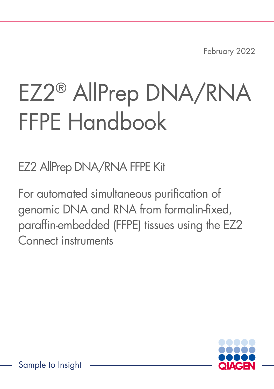February 2022

# EZ2® AllPrep DNA/RNA FFPE Handbook

EZ2 AllPrep DNA/RNA FFPE Kit

For automated simultaneous purification of genomic DNA and RNA from formalin-fixed, paraffin-embedded (FFPE) tissues using the EZ2 Connect instruments

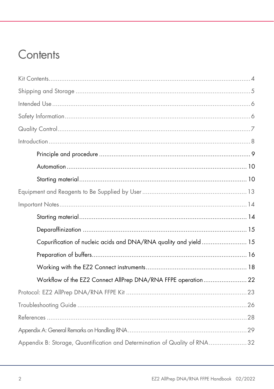## Contents

| Copurification of nucleic acids and DNA/RNA quality and yield 15          |  |
|---------------------------------------------------------------------------|--|
|                                                                           |  |
|                                                                           |  |
| Workflow of the EZ2 Connect AllPrep DNA/RNA FFPE operation 22             |  |
|                                                                           |  |
|                                                                           |  |
|                                                                           |  |
|                                                                           |  |
| Appendix B: Storage, Quantification and Determination of Quality of RNA32 |  |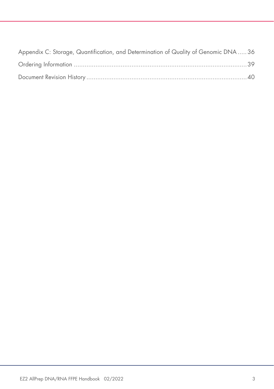| Appendix C: Storage, Quantification, and Determination of Quality of Genomic DNA 36 |  |
|-------------------------------------------------------------------------------------|--|
|                                                                                     |  |
|                                                                                     |  |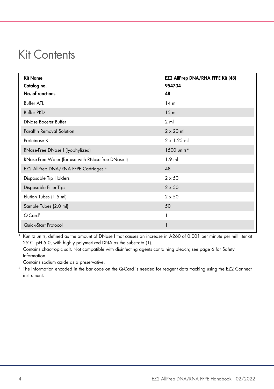### <span id="page-3-0"></span>Kit Contents

| <b>Kit Name</b><br>Catalog no.<br>No. of reactions | EZ2 AllPrep DNA/RNA FFPE Kit (48)<br>954734<br>48 |
|----------------------------------------------------|---------------------------------------------------|
| <b>Buffer ATL</b>                                  | $14$ m                                            |
| <b>Buffer PKD</b>                                  | $15$ m                                            |
| <b>DNase Booster Buffer</b>                        | 2 <sub>m</sub>                                    |
| <b>Paraffin Removal Solution</b>                   | $2 \times 20$ ml                                  |
| Proteinase K                                       | $2 \times 1.25$ ml                                |
| RNase-Free DNase I (lyophylized)                   | 1500 units*                                       |
| RNase-Free Water (for use with RNase-free DNase I) | $1.9$ ml                                          |
| EZ2 AllPrep DNA/RNA FFPE Cartridges <sup>t‡</sup>  | 48                                                |
| Disposable Tip Holders                             | $2 \times 50$                                     |
| Disposable Filter-Tips                             | $2 \times 50$                                     |
| Elution Tubes (1.5 ml)                             | $2 \times 50$                                     |
| Sample Tubes (2.0 ml)                              | 50                                                |
| Q-Card <sup>§</sup>                                | 1                                                 |
| Quick-Start Protocol                               | 1                                                 |

Kunitz units, defined as the amount of DNase I that causes an increase in A260 of 0.001 per minute per milliliter at 25ºC, pH 5.0, with highly polymerized DNA as the substrate [\(1\).](#page-27-1)

† Contains chaotropic salt. Not compatible with disinfecting agents containing bleach; see page [6](#page-5-1) for [Safety](#page-5-1)  [Information.](#page-5-1)

‡ Contains sodium azide as a preservative.

§ The information encoded in the bar code on the Q-Card is needed for reagent data tracking using the EZ2 Connect instrument.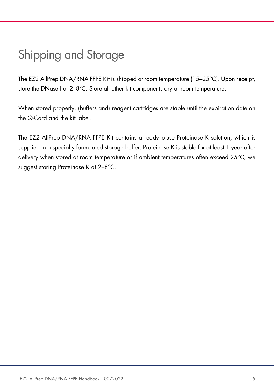# <span id="page-4-0"></span>Shipping and Storage

The EZ2 AllPrep DNA/RNA FFPE Kit is shipped at room temperature (15–25°C). Upon receipt, store the DNase I at 2–8°C. Store all other kit components dry at room temperature.

When stored properly, (buffers and) reagent cartridges are stable until the expiration date on the Q-Card and the kit label.

The EZ2 AllPrep DNA/RNA FFPE Kit contains a ready-to-use Proteinase K solution, which is supplied in a specially formulated storage buffer. Proteinase K is stable for at least 1 year after delivery when stored at room temperature or if ambient temperatures often exceed 25°C, we suggest storing Proteinase K at 2–8°C.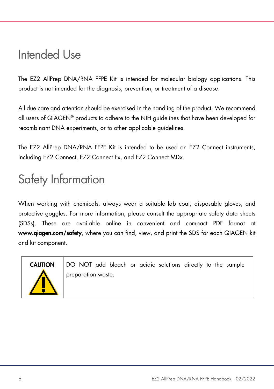## <span id="page-5-0"></span>Intended Use

The EZ2 AllPrep DNA/RNA FFPE Kit is intended for molecular biology applications. This product is not intended for the diagnosis, prevention, or treatment of a disease.

All due care and attention should be exercised in the handling of the product. We recommend all users of QIAGEN® products to adhere to the NIH guidelines that have been developed for recombinant DNA experiments, or to other applicable guidelines.

The EZ2 AllPrep DNA/RNA FFPE Kit is intended to be used on EZ2 Connect instruments, including EZ2 Connect, EZ2 Connect Fx, and EZ2 Connect MDx.

# <span id="page-5-1"></span>Safety Information

When working with chemicals, always wear a suitable lab coat, disposable gloves, and protective goggles. For more information, please consult the appropriate safety data sheets (SDSs). These are available online in convenient and compact PDF format at www.qiagen.com/safety, where you can find, view, and print the SDS for each QIAGEN kit and kit component.



CAUTION DO NOT add bleach or acidic solutions directly to the sample preparation waste.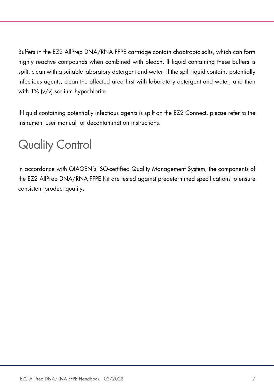Buffers in the EZ2 AllPrep DNA/RNA FFPE cartridge contain chaotropic salts, which can form highly reactive compounds when combined with bleach. If liquid containing these buffers is spilt, clean with a suitable laboratory detergent and water. If the spilt liquid contains potentially infectious agents, clean the affected area first with laboratory detergent and water, and then with 1% (v/v) sodium hypochlorite.

If liquid containing potentially infectious agents is spilt on the EZ2 Connect, please refer to the instrument user manual for decontamination instructions.

# <span id="page-6-0"></span>Quality Control

In accordance with QIAGEN's ISO-certified Quality Management System, the components of the EZ2 AllPrep DNA/RNA FFPE Kit are tested against predetermined specifications to ensure consistent product quality.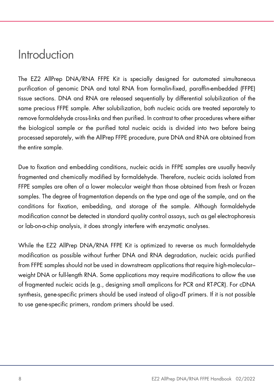### <span id="page-7-0"></span>Introduction

The EZ2 AllPrep DNA/RNA FFPE Kit is specially designed for automated simultaneous purification of genomic DNA and total RNA from formalin-fixed, paraffin-embedded (FFPE) tissue sections. DNA and RNA are released sequentially by differential solubilization of the same precious FFPE sample. After solubilization, both nucleic acids are treated separately to remove formaldehyde cross-links and then purified. In contrast to other procedures where either the biological sample or the purified total nucleic acids is divided into two before being processed separately, with the AllPrep FFPE procedure, pure DNA and RNA are obtained from the entire sample.

Due to fixation and embedding conditions, nucleic acids in FFPE samples are usually heavily fragmented and chemically modified by formaldehyde. Therefore, nucleic acids isolated from FFPE samples are often of a lower molecular weight than those obtained from fresh or frozen samples. The degree of fragmentation depends on the type and age of the sample, and on the conditions for fixation, embedding, and storage of the sample. Although formaldehyde modification cannot be detected in standard quality control assays, such as gel electrophoresis or lab-on-a-chip analysis, it does strongly interfere with enzymatic analyses.

While the EZ2 AllPrep DNA/RNA FFPE Kit is optimized to reverse as much formaldehyde modification as possible without further DNA and RNA degradation, nucleic acids purified from FFPE samples should not be used in downstream applications that require high-molecular– weight DNA or full-length RNA. Some applications may require modifications to allow the use of fragmented nucleic acids (e.g., designing small amplicons for PCR and RT-PCR). For cDNA synthesis, gene-specific primers should be used instead of oligo-dT primers. If it is not possible to use gene-specific primers, random primers should be used.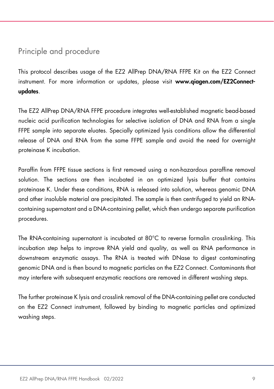### <span id="page-8-0"></span>Principle and procedure

This protocol describes usage of the EZ2 AllPrep DNA/RNA FFPE Kit on the EZ2 Connect instrument. For more information or updates, please visit www.qiagen.com/EZ2Connectupdates.

The EZ2 AllPrep DNA/RNA FFPE procedure integrates well-established magnetic bead-based nucleic acid purification technologies for selective isolation of DNA and RNA from a single FFPE sample into separate eluates. Specially optimized lysis conditions allow the differential release of DNA and RNA from the same FFPE sample and avoid the need for overnight proteinase K incubation.

Paraffin from FFPE tissue sections is first removed using a non-hazardous paraffine removal solution. The sections are then incubated in an optimized lysis buffer that contains proteinase K. Under these conditions, RNA is released into solution, whereas genomic DNA and other insoluble material are precipitated. The sample is then centrifuged to yield an RNAcontaining supernatant and a DNA-containing pellet, which then undergo separate purification procedures.

The RNA-containing supernatant is incubated at 80°C to reverse formalin crosslinking. This incubation step helps to improve RNA yield and quality, as well as RNA performance in downstream enzymatic assays. The RNA is treated with DNase to digest contaminating genomic DNA and is then bound to magnetic particles on the EZ2 Connect. Contaminants that may interfere with subsequent enzymatic reactions are removed in different washing steps.

The further proteinase K lysis and crosslink removal of the DNA-containing pellet are conducted on the EZ2 Connect instrument, followed by binding to magnetic particles and optimized washing steps.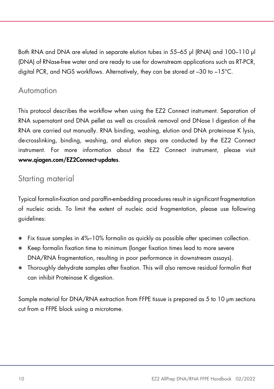Both RNA and DNA are eluted in separate elution tubes in 55–65 µl (RNA) and 100–110 µl (DNA) of RNase-free water and are ready to use for downstream applications such as RT-PCR, digital PCR, and NGS workflows. Alternatively, they can be stored at –30 to –15°C.

### <span id="page-9-0"></span>Automation

This protocol describes the workflow when using the EZ2 Connect instrument. Separation of RNA supernatant and DNA pellet as well as crosslink removal and DNase I digestion of the RNA are carried out manually. RNA binding, washing, elution and DNA proteinase K lysis, de-crosslinking, binding, washing, and elution steps are conducted by the EZ2 Connect instrument. For more information about the EZ2 Connect instrument, please visit www.qiagen.com/EZ2Connect-updates.

### <span id="page-9-1"></span>Starting material

Typical formalin-fixation and paraffin-embedding procedures result in significant fragmentation of nucleic acids. To limit the extent of nucleic acid fragmentation, please use following guidelines:

- Fix tissue samples in 4%–10% formalin as quickly as possible after specimen collection.
- Keep formalin fixation time to minimum (longer fixation times lead to more severe DNA/RNA fragmentation, resulting in poor performance in downstream assays).
- Thoroughly dehydrate samples after fixation. This will also remove residual formalin that can inhibit Proteinase K digestion.

Sample material for DNA/RNA extraction from FFPE tissue is prepared as 5 to 10 µm sections cut from a FFPE block using a microtome.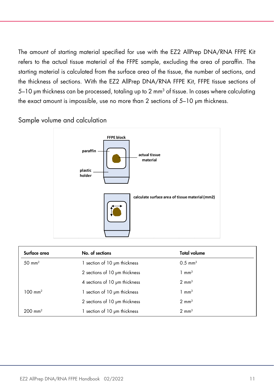The amount of starting material specified for use with the EZ2 AllPrep DNA/RNA FFPE Kit refers to the actual tissue material of the FFPE sample, excluding the area of paraffin. The starting material is calculated from the surface area of the tissue, the number of sections, and the thickness of sections. With the EZ2 AllPrep DNA/RNA FFPE Kit, FFPE tissue sections of 5-10 µm thickness can be processed, totaling up to 2 mm<sup>3</sup> of tissue. In cases where calculating the exact amount is impossible, use no more than 2 sections of 5–10 µm thickness.

Sample volume and calculation



| Surface area         | No. of sections               | <b>Total volume</b> |  |
|----------------------|-------------------------------|---------------------|--|
| $50 \text{ mm}^2$    | section of 10 um thickness    | $0.5 \text{ mm}^3$  |  |
|                      | 2 sections of 10 um thickness | $1 \text{ mm}^3$    |  |
|                      | 4 sections of 10 um thickness | $2 \text{ mm}^3$    |  |
| $100 \text{ mm}^2$   | 1 section of 10 µm thickness  | $1 \text{ mm}^3$    |  |
|                      | 2 sections of 10 um thickness | $2 \text{ mm}^3$    |  |
| $200 \, \text{mm}^2$ | section of 10 um thickness    | $2 \text{ mm}^3$    |  |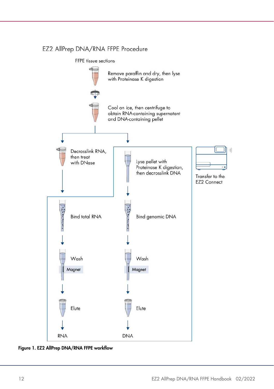#### EZ2 AllPrep DNA/RNA FFPE Procedure

FFPE tissue sections



Figure 1. EZ2 AllPrep DNA/RNA FFPE workflow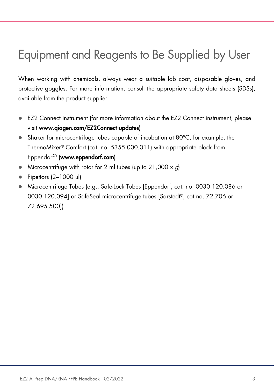# <span id="page-12-0"></span>Equipment and Reagents to Be Supplied by User

When working with chemicals, always wear a suitable lab coat, disposable gloves, and protective goggles. For more information, consult the appropriate safety data sheets (SDSs), available from the product supplier.

- EZ2 Connect instrument (for more information about the EZ2 Connect instrument, please visit www.qiagen.com/EZ2Connect-updates)
- Shaker for microcentrifuge tubes capable of incubation at 80°C, for example, the ThermoMixer® Comfort (cat. no. 5355 000.011) with appropriate block from Eppendorf® (www.eppendorf.com)
- Microcentrifuge with rotor for 2 ml tubes (up to  $21,000 \times q$ )
- Pipettors (2-1000 µl)
- Microcentrifuge Tubes (e.g., Safe-Lock Tubes [Eppendorf, cat. no. 0030 120.086 or 0030 120.094] or SafeSeal microcentrifuge tubes [Sarstedt®, cat no. 72.706 or 72.695.500])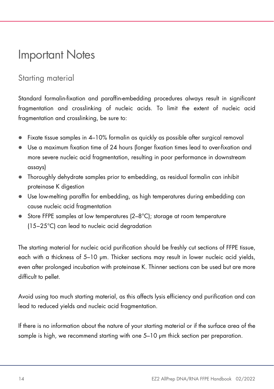### <span id="page-13-0"></span>Important Notes

### <span id="page-13-1"></span>Starting material

Standard formalin-fixation and paraffin-embedding procedures always result in significant fragmentation and crosslinking of nucleic acids. To limit the extent of nucleic acid fragmentation and crosslinking, be sure to:

- $\bullet$  Fixate tissue samples in 4–10% formalin as aujakly as possible after surgical removal
- Use a maximum fixation time of 24 hours (longer fixation times lead to over-fixation and more severe nucleic acid fragmentation, resulting in poor performance in downstream assays)
- Thoroughly dehydrate samples prior to embedding, as residual formalin can inhibit proteinase K digestion
- Use low-melting paraffin for embedding, as high temperatures during embedding can cause nucleic acid fragmentation
- Store FFPE samples at low temperatures (2–8°C); storage at room temperature (15−25°C) can lead to nucleic acid degradation

The starting material for nucleic acid purification should be freshly cut sections of FFPE tissue, each with a thickness of 5–10 μm. Thicker sections may result in lower nucleic acid yields, even after prolonged incubation with proteinase K. Thinner sections can be used but are more difficult to pellet.

Avoid using too much starting material, as this affects lysis efficiency and purification and can lead to reduced yields and nucleic acid fragmentation.

If there is no information about the nature of your starting material or if the surface area of the sample is high, we recommend starting with one 5–10 μm thick section per preparation.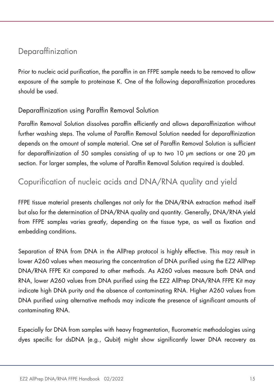### <span id="page-14-0"></span>Deparaffinization

Prior to nucleic acid purification, the paraffin in an FFPE sample needs to be removed to allow exposure of the sample to proteinase K. One of the following deparaffinization procedures should be used.

#### Deparaffinization using Paraffin Removal Solution

Paraffin Removal Solution dissolves paraffin efficiently and allows deparaffinization without further washing steps. The volume of Paraffin Removal Solution needed for deparaffinization depends on the amount of sample material. One set of Paraffin Removal Solution is sufficient for deparaffinization of 50 samples consisting of up to two 10 μm sections or one 20 μm section. For larger samples, the volume of Paraffin Removal Solution required is doubled.

### <span id="page-14-1"></span>Copurification of nucleic acids and DNA/RNA quality and yield

FFPE tissue material presents challenges not only for the DNA/RNA extraction method itself but also for the determination of DNA/RNA quality and quantity. Generally, DNA/RNA yield from FFPE samples varies greatly, depending on the tissue type, as well as fixation and embedding conditions.

Separation of RNA from DNA in the AllPrep protocol is highly effective. This may result in lower A260 values when measuring the concentration of DNA purified using the EZ2 AllPrep DNA/RNA FFPE Kit compared to other methods. As A260 values measure both DNA and RNA, lower A260 values from DNA purified using the EZ2 AllPrep DNA/RNA FFPE Kit may indicate high DNA purity and the absence of contaminating RNA. Higher A260 values from DNA purified using alternative methods may indicate the presence of significant amounts of contaminating RNA.

Especially for DNA from samples with heavy fragmentation, fluorometric methodologies using dyes specific for dsDNA (e.g., Qubit) might show significantly lower DNA recovery as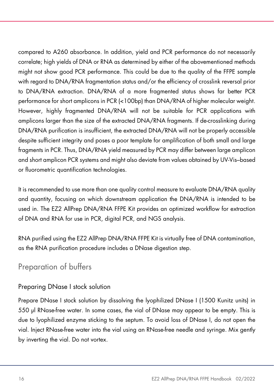compared to A260 absorbance. In addition, yield and PCR performance do not necessarily correlate; high yields of DNA or RNA as determined by either of the abovementioned methods might not show good PCR performance. This could be due to the quality of the FFPE sample with regard to DNA/RNA fragmentation status and/or the efficiency of crosslink reversal prior to DNA/RNA extraction. DNA/RNA of a more fragmented status shows far better PCR performance for short amplicons in PCR (<100bp) than DNA/RNA of higher molecular weight. However, highly fragmented DNA/RNA will not be suitable for PCR applications with amplicons larger than the size of the extracted DNA/RNA fragments. If de-crosslinking during DNA/RNA purification is insufficient, the extracted DNA/RNA will not be properly accessible despite sufficient integrity and poses a poor template for amplification of both small and large fragments in PCR. Thus, DNA/RNA yield measured by PCR may differ between large amplicon and short amplicon PCR systems and might also deviate from values obtained by UV-Vis–based or fluorometric quantification technologies.

It is recommended to use more than one quality control measure to evaluate DNA/RNA quality and quantity, focusing on which downstream application the DNA/RNA is intended to be used in. The EZ2 AllPrep DNA/RNA FFPE Kit provides an optimized workflow for extraction of DNA and RNA for use in PCR, digital PCR, and NGS analysis.

RNA purified using the EZ2 AllPrep DNA/RNA FFPE Kit is virtually free of DNA contamination, as the RNA purification procedure includes a DNase digestion step.

### <span id="page-15-0"></span>Preparation of buffers

#### Preparing DNase I stock solution

Prepare DNase I stock solution by dissolving the lyophilized DNase I (1500 Kunitz units) in 550 μl RNase-free water. In some cases, the vial of DNase may appear to be empty. This is due to lyophilized enzyme sticking to the septum. To avoid loss of DNase I, do not open the vial. Inject RNase-free water into the vial using an RNase-free needle and syringe. Mix gently by inverting the vial. Do not vortex.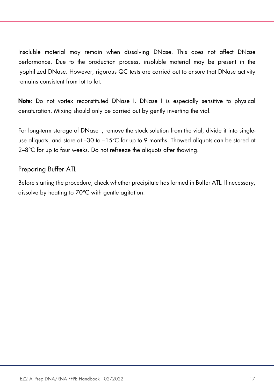Insoluble material may remain when dissolving DNase. This does not affect DNase performance. Due to the production process, insoluble material may be present in the lyophilized DNase. However, rigorous QC tests are carried out to ensure that DNase activity remains consistent from lot to lot.

Note: Do not vortex reconstituted DNase I. DNase I is especially sensitive to physical denaturation. Mixing should only be carried out by gently inverting the vial.

For long-term storage of DNase I, remove the stock solution from the vial, divide it into singleuse aliquots, and store at  $-30$  to  $-15^{\circ}$  for up to 9 months. Thawed aliquots can be stored at 2–8°C for up to four weeks. Do not refreeze the aliquots after thawing.

#### Preparing Buffer ATL

Before starting the procedure, check whether precipitate has formed in Buffer ATL. If necessary, dissolve by heating to 70°C with gentle agitation.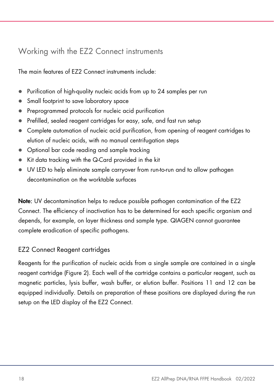### <span id="page-17-0"></span>Working with the EZ2 Connect instruments

The main features of EZ2 Connect instruments include:

- Purification of high-quality nucleic acids from up to 24 samples per run
- Small footprint to save laboratory space
- Preprogrammed protocols for nucleic acid purification
- Prefilled, sealed reagent cartridges for easy, safe, and fast run setup
- Complete automation of nucleic acid purification, from opening of reagent cartridges to elution of nucleic acids, with no manual centrifugation steps
- Optional bar code reading and sample tracking
- Kit data tracking with the Q-Card provided in the kit
- UV LED to help eliminate sample carryover from run-to-run and to allow pathogen decontamination on the worktable surfaces

Note: UV decontamination helps to reduce possible pathogen contamination of the EZ2 Connect. The efficiency of inactivation has to be determined for each specific organism and depends, for example, on layer thickness and sample type. QIAGEN cannot guarantee complete eradication of specific pathogens.

### EZ2 Connect Reagent cartridges

Reagents for the purification of nucleic acids from a single sample are contained in a single reagent cartridge [\(Figure 2\)](#page-18-0). Each well of the cartridge contains a particular reagent, such as magnetic particles, lysis buffer, wash buffer, or elution buffer. Positions 11 and 12 can be equipped individually. Details on preparation of these positions are displayed during the run setup on the LED display of the EZ2 Connect.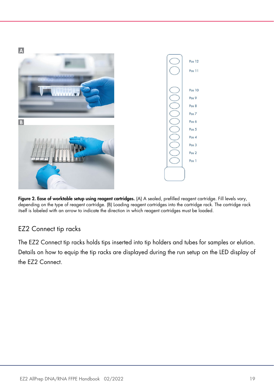

Figure 2. Ease of worktable setup using reagent cartridges. (A) A sealed, prefilled reagent cartridge. Fill levels vary, depending on the type of reagent cartridge. (B) Loading reagent cartridges into the cartridge rack. The cartridge rack itself is labeled with an arrow to indicate the direction in which reagent cartridges must be loaded.

### <span id="page-18-0"></span>EZ2 Connect tip racks

The EZ2 Connect tip racks holds tips inserted into tip holders and tubes for samples or elution. Details on how to equip the tip racks are displayed during the run setup on the LED display of the EZ2 Connect.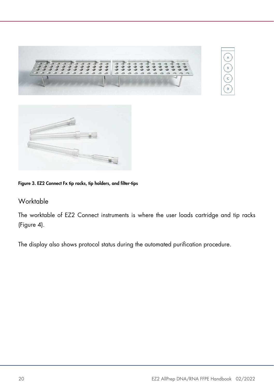



#### Figure 3. EZ2 Connect Fx tip racks, tip holders, and filter-tips

#### Worktable

The worktable of EZ2 Connect instruments is where the user loads cartridge and tip racks [\(Figure 4\)](#page-20-0).

The display also shows protocol status during the automated purification procedure.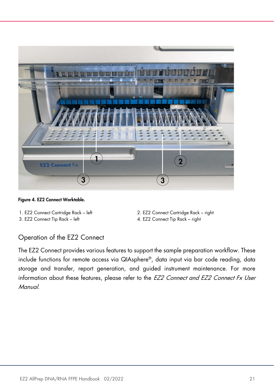

Figure 4. EZ2 Connect Worktable.

- 
- 3. EZ2 Connect Tip Rack left 4. EZ2 Connect Tip Rack right
- <span id="page-20-0"></span>1. EZ2 Connect Cartridge Rack – left 2. EZ2 Connect Cartridge Rack – right
	-

#### Operation of the EZ2 Connect

The EZ2 Connect provides various features to support the sample preparation workflow. These include functions for remote access via QIAsphere®, data input via bar code reading, data storage and transfer, report generation, and guided instrument maintenance. For more information about these features, please refer to the EZ2 Connect and EZ2 Connect Fx User Manual.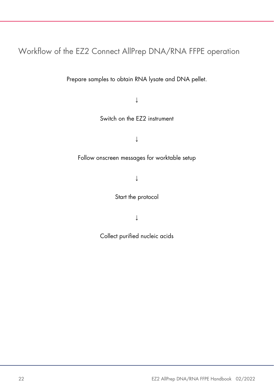### <span id="page-21-0"></span>Workflow of the EZ2 Connect AllPrep DNA/RNA FFPE operation

Prepare samples to obtain RNA lysate and DNA pellet.

↓

Switch on the EZ2 instrument

↓

#### Follow onscreen messages for worktable setup

↓

Start the protocol

↓

Collect purified nucleic acids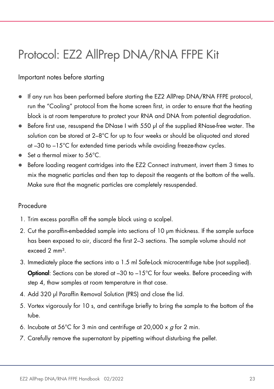# <span id="page-22-0"></span>Protocol: EZ2 AllPrep DNA/RNA FFPE Kit

#### Important notes before starting

- If any run has been performed before starting the EZ2 AllPrep DNA/RNA FFPE protocol, run the "Cooling" protocol from the home screen first, in order to ensure that the heating block is at room temperature to protect your RNA and DNA from potential degradation.
- Before first use, resuspend the DNase I with 550 ul of the supplied RNase-free water. The solution can be stored at 2–8°C for up to four weeks or should be aliquoted and stored at –30 to –15°C for extended time periods while avoiding freeze-thaw cycles.
- Set a thermal mixer to 56<sup>o</sup>C.
- Before loading reagent cartridges into the EZ2 Connect instrument, invert them 3 times to mix the magnetic particles and then tap to deposit the reagents at the bottom of the wells. Make sure that the magnetic particles are completely resuspended.

#### Procedure

- 1. Trim excess paraffin off the sample block using a scalpel.
- 2. Cut the paraffin-embedded sample into sections of 10 µm thickness. If the sample surface has been exposed to air, discard the first 2–3 sections. The sample volume should not exceed 2 mm³.
- 3. Immediately place the sections into a 1.5 ml Safe-Lock microcentrifuge tube (not supplied). **Optional:** Sections can be stored at -30 to -15°C for four weeks. Before proceeding with step 4, thaw samples at room temperature in that case.
- 4. Add 320 µl Paraffin Removal Solution (PRS) and close the lid.
- 5. Vortex vigorously for 10 s, and centrifuge briefly to bring the sample to the bottom of the tube.
- 6. Incubate at 56°C for 3 min and centrifuge at 20,000  $\times$  q for 2 min.
- 7. Carefully remove the supernatant by pipetting without disturbing the pellet.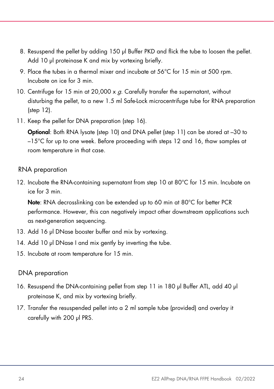- 8. Resuspend the pellet by adding 150 µl Buffer PKD and flick the tube to loosen the pellet. Add 10 µl proteinase K and mix by vortexing briefly.
- 9. Place the tubes in a thermal mixer and incubate at 56°C for 15 min at 500 rpm. Incubate on ice for 3 min.
- <span id="page-23-2"></span>10. Centrifuge for 15 min at 20,000  $\times$  g. Carefully transfer the supernatant, without disturbing the pellet, to a new 1.5 ml Safe-Lock microcentrifuge tube for RNA preparation (step [12\)](#page-23-0).
- <span id="page-23-3"></span>11. Keep the pellet for DNA preparation (step [16\)](#page-23-1).

Optional: Both RNA lysate (step 10) and DNA pellet (step 11) can be stored at –30 to –15°C for up to one week. Before proceeding with steps 12 and 16, thaw samples at room temperature in that case.

#### RNA preparation

<span id="page-23-0"></span>12. Incubate the RNA-containing supernatant from step [10](#page-23-2) at 80°C for 15 min. Incubate on ice for 3 min.

Note: RNA decrosslinking can be extended up to 60 min at 80°C for better PCR performance. However, this can negatively impact other downstream applications such as next-generation sequencing.

- 13. Add 16 µl DNase booster buffer and mix by vortexing.
- 14. Add 10 µl DNase I and mix gently by inverting the tube.
- <span id="page-23-4"></span>15. Incubate at room temperature for 15 min.

#### DNA preparation

- <span id="page-23-1"></span>16. Resuspend the DNA-containing pellet from step [11](#page-23-3) in 180 µl Buffer ATL, add 40 µl proteinase K, and mix by vortexing briefly.
- <span id="page-23-5"></span>17. Transfer the resuspended pellet into a 2 ml sample tube (provided) and overlay it carefully with 200 µl PRS.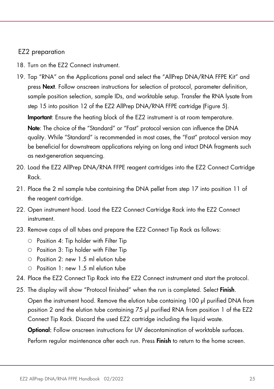#### EZ2 preparation

- 18. Turn on the EZ2 Connect instrument.
- 19. Tap "RNA" on the Applications panel and select the "AllPrep DNA/RNA FFPE Kit" and press **Next**. Follow onscreen instructions for selection of protocol, parameter definition, sample position selection, sample IDs, and worktable setup. Transfer the RNA lysate from step [15](#page-23-4) into position 12 of the EZ2 AllPrep DNA/RNA FFPE cartridge (Figure 5). Important: Ensure the heating block of the EZ2 instrument is at room temperature. Note: The choice of the "Standard" or "Fast" protocol version can influence the DNA quality. While "Standard" is recommended in most cases, the "Fast" protocol version may be beneficial for downstream applications relying on long and intact DNA fragments such as next-generation sequencing.
- 20. Load the EZ2 AllPrep DNA/RNA FFPE reagent cartridges into the EZ2 Connect Cartridge Rack.
- 21. Place the 2 ml sample tube containing the DNA pellet from step [17](#page-23-5) into position 11 of the reagent cartridge.
- 22. Open instrument hood. Load the EZ2 Connect Cartridge Rack into the EZ2 Connect instrument.
- 23. Remove caps of all tubes and prepare the EZ2 Connect Tip Rack as follows:
	- $\circ$  Position 4: Tip holder with Filter Tip
	- $\circ$  Position 3: Tip holder with Filter Tip
	- $\circ$  Position 2: new 1.5 ml elution tube
	- $\circ$  Position 1: new 1.5 ml elution tube
- 24. Place the EZ2 Connect Tip Rack into the EZ2 Connect instrument and start the protocol.
- 25. The display will show "Protocol finished" when the run is completed. Select Finish.

Open the instrument hood. Remove the elution tube containing 100 µl purified DNA from position 2 and the elution tube containing 75 µl purified RNA from position 1 of the EZ2 Connect Tip Rack. Discard the used EZ2 cartridge including the liquid waste.

Optional: Follow onscreen instructions for UV decontamination of worktable surfaces.

Perform regular maintenance after each run. Press **Finish** to return to the home screen.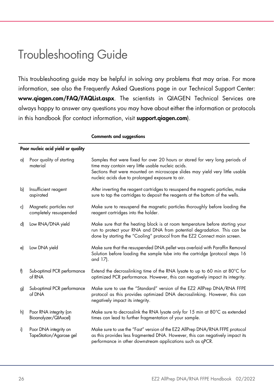# <span id="page-25-0"></span>Troubleshooting Guide

This troubleshooting guide may be helpful in solving any problems that may arise. For more information, see also the Frequently Asked Questions page in our Technical Support Center: www.qiagen.com/FAQ/FAQList.aspx. The scientists in QIAGEN Technical Services are always happy to answer any questions you may have about either the information or protocols in this handbook (for contact information, visit **support.aiggen.com**).

| a) | Poor quality of starting<br>material             | Samples that were fixed for over 20 hours or stored for very long periods of<br>time may contain very little usable nucleic acids.<br>Sections that were mounted on microscope slides may yield very little usable<br>nucleic acids due to prolonged exposure to air. |
|----|--------------------------------------------------|-----------------------------------------------------------------------------------------------------------------------------------------------------------------------------------------------------------------------------------------------------------------------|
| b) | Insufficient reagent<br>aspirated                | After inverting the reagent cartridges to resuspend the magnetic particles, make<br>sure to tap the cartridges to deposit the reagents at the bottom of the wells.                                                                                                    |
| c) | Magnetic particles not<br>completely resuspended | Make sure to resuspend the magnetic particles thoroughly before loading the<br>reagent cartridges into the holder.                                                                                                                                                    |
| d) | Low RNA/DNA yield                                | Make sure that the heating block is at room temperature before starting your<br>run to protect your RNA and DNA from potential degradation. This can be<br>done by starting the "Cooling" protocol from the EZ2 Connect main screen.                                  |
| e) | Low DNA yield                                    | Make sure that the resuspended DNA pellet was overlaid with Paraffin Removal<br>Solution before loading the sample tube into the cartridge (protocol steps 16<br>and 17).                                                                                             |
| f) | Sub-optimal PCR performance<br>of RNA            | Extend the decrosslinking time of the RNA lysate to up to 60 min at 80°C for<br>optimized PCR performance. However, this can negatively impact its integrity.                                                                                                         |
| g) | Sub-optimal PCR performance<br>of DNA            | Make sure to use the "Standard" version of the EZ2 AllPrep DNA/RNA FFPE<br>protocol as this provides optimized DNA decrosslinking. However, this can<br>negatively impact its integrity.                                                                              |
| h) | Poor RNA integrity (on<br>Bioanalyzer/QIAxcel)   | Make sure to decrosslink the RNA lysate only for 15 min at 80°C as extended<br>times can lead to further fragmentation of your sample.                                                                                                                                |
| i) | Poor DNA integrity on<br>TapeStation/Agarose gel | Make sure to use the "Fast" version of the EZ2 AllPrep DNA/RNA FFPE protocol<br>as this provides less fragmented DNA. However, this can negatively impact its<br>performance in other downstream applications such as qPCR.                                           |

#### Comments and suggestions

#### Poor nucleic acid yield or quality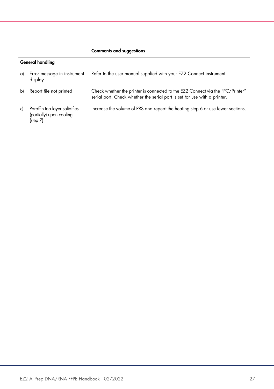#### Comments and suggestions

#### General handling

| a) | Error message in instrument<br>display                                | Refer to the user manual supplied with your EZ2 Connect instrument.                                                                                         |
|----|-----------------------------------------------------------------------|-------------------------------------------------------------------------------------------------------------------------------------------------------------|
| bl | Report file not printed                                               | Check whether the printer is connected to the EZ2 Connect via the "PC/Printer"<br>serial port. Check whether the serial port is set for use with a printer. |
| c) | Paraffin top layer solidifies<br>(partially) upon cooling<br>(step 7) | Increase the volume of PRS and repeat the heating step 6 or use fewer sections.                                                                             |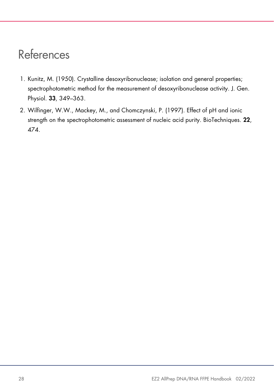# <span id="page-27-0"></span>References

- <span id="page-27-1"></span>1. Kunitz, M. (1950). Crystalline desoxyribonuclease; isolation and general properties; spectrophotometric method for the measurement of desoxyribonuclease activity. J. Gen. Physiol. 33, 349–363.
- 2. Wilfinger, W.W., Mackey, M., and Chomczynski, P. (1997). Effect of pH and ionic strength on the spectrophotometric assessment of nucleic acid purity. BioTechniques. 22, 474.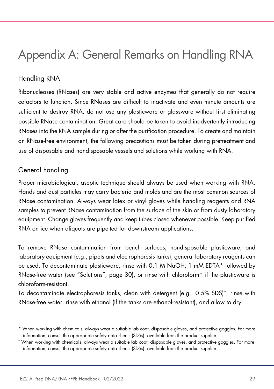# <span id="page-28-0"></span>Appendix A: General Remarks on Handling RNA

### Handling RNA

Ribonucleases (RNases) are very stable and active enzymes that generally do not require cofactors to function. Since RNases are difficult to inactivate and even minute amounts are sufficient to destroy RNA, do not use any plasticware or glassware without first eliminating possible RNase contamination. Great care should be taken to avoid inadvertently introducing RNases into the RNA sample during or after the purification procedure. To create and maintain an RNase-free environment, the following precautions must be taken during pretreatment and use of disposable and nondisposable vessels and solutions while working with RNA.

#### General handling

Proper microbiological, aseptic technique should always be used when working with RNA. Hands and dust particles may carry bacteria and molds and are the most common sources of RNase contamination. Always wear latex or vinyl gloves while handling reagents and RNA samples to prevent RNase contamination from the surface of the skin or from dusty laboratory equipment. Change gloves frequently and keep tubes closed whenever possible. Keep purified RNA on ice when aliquots are pipetted for downstream applications.

To remove RNase contamination from bench surfaces, nondisposable plasticware, and laboratory equipment (e.g., pipets and electrophoresis tanks), general laboratory reagents can be used. To decontaminate plasticware, rinse with 0.1 M NaOH, 1 mM EDTA[\\*](#page-28-1) followed by RNase-free water (see "Solutions", page [30\)](#page-29-0), or rinse with chloroform\* if the plasticware is chloroform-resistant.

To decontaminate electrophoresis tanks, clean with detergent (e.g.,  $0.5\%$  SDS)<sup>†</sup>, rinse with RNase-free water, rinse with ethanol (if the tanks are ethanol-resistant), and allow to dry.

<span id="page-28-1"></span><sup>\*</sup> When working with chemicals, always wear a suitable lab coat, disposable gloves, and protective goggles. For more information, consult the appropriate safety data sheets (SDSs), available from the product supplier.

<span id="page-28-2"></span><sup>†</sup> When working with chemicals, always wear a suitable lab coat, disposable gloves, and protective goggles. For more information, consult the appropriate safety data sheets (SDSs), available from the product supplier.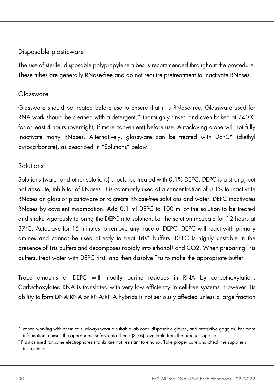#### Disposable plasticware

The use of sterile, disposable polypropylene tubes is recommended throughout the procedure. These tubes are generally RNase-free and do not require pretreatment to inactivate RNases.

#### Glassware

Glassware should be treated before use to ensure that it is RNase-free. Glassware used for RNA work should be cleaned with a detergent,[\\*](#page-29-1) thoroughly rinsed and oven baked at 240°C for at least 4 hours (overnight, if more convenient) before use. Autoclaving alone will not fully inactivate many RNases. Alternatively, glassware can be treated with DEPC\* (diethyl pyrocarbonate), as described in ["Solutions"](#page-29-0) below.

#### <span id="page-29-0"></span>Solutions

Solutions (water and other solutions) should be treated with 0.1% DEPC. DEPC is a strong, but not absolute, inhibitor of RNases. It is commonly used at a concentration of 0.1% to inactivate RNases on glass or plasticware or to create RNase-free solutions and water. DEPC inactivates RNases by covalent modification. Add 0.1 ml DEPC to 100 ml of the solution to be treated and shake vigorously to bring the DEPC into solution. Let the solution incubate for 12 hours at 37ºC. Autoclave for 15 minutes to remove any trace of DEPC. DEPC will react with primary amines and cannot be used directly to treat Tris\* buffers. DEPC is highly unstable in the presence of Tris buffers and decomposes rapidly into ethanol[†](#page-29-2) and CO2. When preparing Tris buffers, treat water with DEPC first, and then dissolve Tris to make the appropriate buffer.

Trace amounts of DEPC will modify purine residues in RNA by carbethoxylation. Carbethoxylated RNA is translated with very low efficiency in cell-free systems. However, its ability to form DNA:RNA or RNA:RNA hybrids is not seriously affected unless a large fraction

<span id="page-29-1"></span><sup>\*</sup> When working with chemicals, always wear a suitable lab coat, disposable gloves, and protective goggles. For more information, consult the appropriate safety data sheets (SDSs), available from the product supplier.

<span id="page-29-2"></span><sup>†</sup> Plastics used for some electrophoresis tanks are not resistant to ethanol. Take proper care and check the supplier's instructions.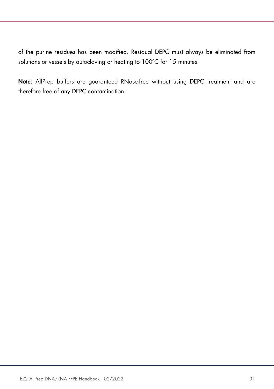of the purine residues has been modified. Residual DEPC must always be eliminated from solutions or vessels by autoclaving or heating to 100°C for 15 minutes.

Note: AllPrep buffers are guaranteed RNase-free without using DEPC treatment and are therefore free of any DEPC contamination.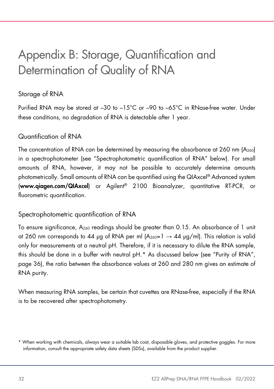# <span id="page-31-0"></span>Appendix B: Storage, Quantification and Determination of Quality of RNA

#### Storage of RNA

Purified RNA may be stored at –30 to –15°C or –90 to –65°C in RNase-free water. Under these conditions, no degradation of RNA is detectable after 1 year.

#### Quantification of RNA

The concentration of RNA can be determined by measuring the absorbance at 260 nm (A260) in a spectrophotometer (see "Spectrophotometric quantification of RNA" below). For small amounts of RNA, however, it may not be possible to accurately determine amounts photometrically. Small amounts of RNA can be quantified using the QIAxcel® Advanced system (www.qiagen.com/QIAxcel) or Agilent® 2100 Bioanalyzer, quantitative RT-PCR, or fluorometric quantification.

#### Spectrophotometric quantification of RNA

To ensure significance, A260 readings should be greater than 0.15. An absorbance of 1 unit at 260 nm corresponds to 44 μg of RNA per ml  $(A_{260}=1 \rightarrow 44 \text{ µg/ml})$ . This relation is valid only for measurements at a neutral pH. Therefore, if it is necessary to dilute the RNA sample, this should be done in a buffer with neutral pH.[\\*](#page-31-1) As discussed below (see "Purity of RNA", page 36), the ratio between the absorbance values at 260 and 280 nm gives an estimate of RNA purity.

When measuring RNA samples, be certain that cuvettes are RNase-free, especially if the RNA is to be recovered after spectrophotometry.

<span id="page-31-1"></span><sup>\*</sup> When working with chemicals, always wear a suitable lab coat, disposable gloves, and protective goggles. For more information, consult the appropriate safety data sheets (SDSs), available from the product supplier.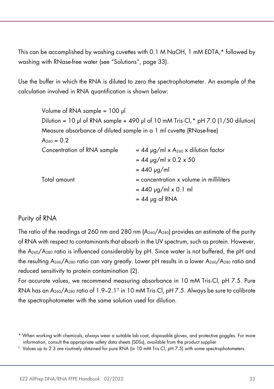This can be accomplished by washing cuvettes with 0.1 M NaOH, 1 mM EDTA,\* followed by washing with RNase-free water (see "Solutions", page 33).

Use the buffer in which the RNA is diluted to zero the spectrophotometer. An example of the calculation involved in RNA quantification is shown below:

| Volume of RNA sample = 100 µl                                       |                                                                                              |
|---------------------------------------------------------------------|----------------------------------------------------------------------------------------------|
|                                                                     | Dilution = 10 µl of RNA sample + 490 µl of 10 mM Tris $\cdot$ Cl, $*$ pH 7.0 (1/50 dilution) |
| Measure absorbance of diluted sample in a 1 ml cuvette (RNase-free) |                                                                                              |
| $A_{260} = 0.2$                                                     |                                                                                              |
| Concentration of RNA sample                                         | $= 44$ µg/ml x A <sub>260</sub> x dilution factor                                            |
|                                                                     | $= 44$ µg/ml x 0.2 x 50                                                                      |
|                                                                     | $= 440$ µg/ml                                                                                |
| Total amount                                                        | $=$ concentration $\times$ volume in milliliters                                             |
|                                                                     | $= 440$ µg/ml x 0.1 ml                                                                       |
|                                                                     | $= 44$ µg of RNA                                                                             |

#### Purity of RNA

The ratio of the readings at 260 nm and 280 nm (A260/A280) provides an estimate of the purity of RNA with respect to contaminants that absorb in the UV spectrum, such as protein. However, the A260/A280 ratio is influenced considerably by pH. Since water is not buffered, the pH and the resulting  $A_{260}/A_{280}$  ratio can vary greatly. Lower pH results in a lower  $A_{260}/A_{280}$  ratio and reduced sensitivity to protein contamination [\(2\)](#page-27-1).

For accurate values, we recommend measuring absorbance in 10 mM Tris·Cl, pH 7.5. Pure RNA has an A260/A280 ratio of 1.9–2.1[†](#page-32-1) in 10 mM Tris·Cl, pH 7.5. Always be sure to calibrate the spectrophotometer with the same solution used for dilution.

<span id="page-32-0"></span><sup>\*</sup> When working with chemicals, always wear a suitable lab coat, disposable gloves, and protective goggles. For more information, consult the appropriate safety data sheets (SDSs), available from the product supplier

<span id="page-32-1"></span><sup>†</sup> Values up to 2.3 are routinely obtained for pure RNA (in 10 mM Tris·Cl, pH 7.5) with some spectrophotometers.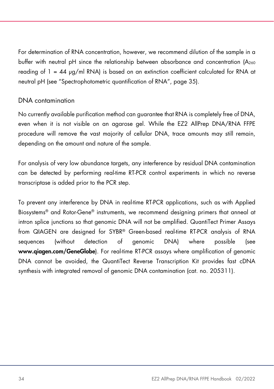For determination of RNA concentration, however, we recommend dilution of the sample in a buffer with neutral pH since the relationship between absorbance and concentration (A260 reading of  $1 = 44 \mu g/ml \text{ RNA}$  is based on an extinction coefficient calculated for RNA at neutral pH (see "Spectrophotometric quantification of RNA", page 35).

#### DNA contamination

No currently available purification method can guarantee that RNA is completely free of DNA, even when it is not visible on an agarose gel. While the EZ2 AllPrep DNA/RNA FFPE procedure will remove the vast majority of cellular DNA, trace amounts may still remain, depending on the amount and nature of the sample.

For analysis of very low abundance targets, any interference by residual DNA contamination can be detected by performing real-time RT-PCR control experiments in which no reverse transcriptase is added prior to the PCR step.

To prevent any interference by DNA in real-time RT-PCR applications, such as with Applied Biosystems® and Rotor-Gene® instruments, we recommend designing primers that anneal at intron splice junctions so that genomic DNA will not be amplified. QuantiTect Primer Assays from QIAGEN are designed for SYBR® Green-based real-time RT-PCR analysis of RNA sequences (without detection of genomic DNA) where possible (see www.qiagen.com/GeneGlobe). For real-time RT-PCR assays where amplification of genomic DNA cannot be avoided, the QuantiTect Reverse Transcription Kit provides fast cDNA synthesis with integrated removal of genomic DNA contamination (cat. no. 205311).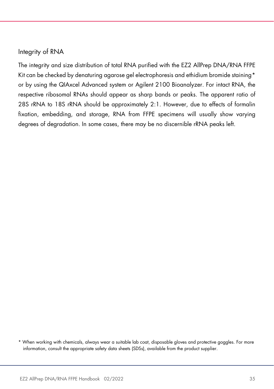#### Integrity of RNA

The integrity and size distribution of total RNA purified with the EZ2 AllPrep DNA/RNA FFPE Kit can be checked by denaturing agarose gel electrophoresis and ethidium bromide staining[\\*](#page-34-0) or by using the QIAxcel Advanced system or Agilent 2100 Bioanalyzer. For intact RNA, the respective ribosomal RNAs should appear as sharp bands or peaks. The apparent ratio of 28S rRNA to 18S rRNA should be approximately 2:1. However, due to effects of formalin fixation, embedding, and storage, RNA from FFPE specimens will usually show varying degrees of degradation. In some cases, there may be no discernible rRNA peaks left.

<span id="page-34-0"></span><sup>\*</sup> When working with chemicals, always wear a suitable lab coat, disposable gloves and protective goggles. For more information, consult the appropriate safety data sheets (SDSs), available from the product supplier.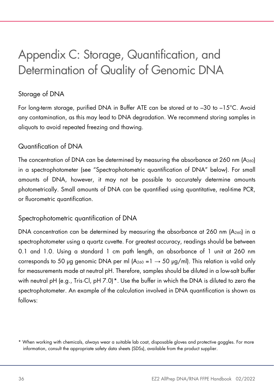# <span id="page-35-0"></span>Appendix C: Storage, Quantification, and Determination of Quality of Genomic DNA

#### Storage of DNA

For long-term storage, purified DNA in Buffer ATE can be stored at to –30 to –15°C. Avoid any contamination, as this may lead to DNA degradation. We recommend storing samples in aliquots to avoid repeated freezing and thawing.

#### Quantification of DNA

The concentration of DNA can be determined by measuring the absorbance at 260 nm  $(A_{260})$ in a spectrophotometer (see "Spectrophotometric quantification of DNA" below). For small amounts of DNA, however, it may not be possible to accurately determine amounts photometrically. Small amounts of DNA can be quantified using quantitative, real-time PCR, or fluorometric quantification.

#### Spectrophotometric quantification of DNA

DNA concentration can be determined by measuring the absorbance at 260 nm  $(A_{260})$  in a spectrophotometer using a quartz cuvette. For greatest accuracy, readings should be between 0.1 and 1.0. Using a standard 1 cm path length, an absorbance of 1 unit at 260 nm corresponds to 50 µg genomic DNA per ml  $(A_{260} = 1 \rightarrow 50 \text{ µg/ml})$ . This relation is valid only for measurements made at neutral pH. Therefore, samples should be diluted in a low-salt buffer with neutral pH (e.g., Tris·Cl, pH 7.0)[\\*.](#page-35-1) Use the buffer in which the DNA is diluted to zero the spectrophotometer. An example of the calculation involved in DNA quantification is shown as follows:

<span id="page-35-1"></span><sup>\*</sup> When working with chemicals, always wear a suitable lab coat, disposable gloves and protective goggles. For more information, consult the appropriate safety data sheets (SDSs), available from the product supplier.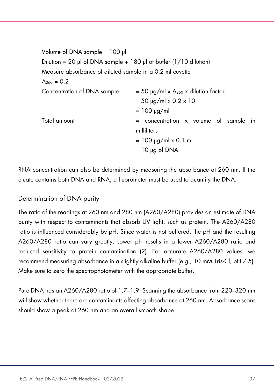Volume of DNA sample = 100 μl Dilution = 20 μl of DNA sample + 180 μl of buffer  $(1/10$  dilution) Measure absorbance of diluted sample in a 0.2 ml cuvette  $A_{260} = 0.2$ Concentration of DNA sample  $= 50 \mu g/ml \times A_{260} \times$  dilution factor  $= 50 \mu g/ml \times 0.2 \times 10$  $= 100$  μg/ml  $Total amount = concentration \times volume of sample in$ milliliters  $= 100$  μg/ml x 0.1 ml  $= 10 \mu$ g of DNA

RNA concentration can also be determined by measuring the absorbance at 260 nm. If the eluate contains both DNA and RNA, a fluorometer must be used to quantify the DNA.

#### Determination of DNA purity

The ratio of the readings at 260 nm and 280 nm (A260/A280) provides an estimate of DNA purity with respect to contaminants that absorb UV light, such as protein. The A260/A280 ratio is influenced considerably by pH. Since water is not buffered, the pH and the resulting A260/A280 ratio can vary greatly. Lower pH results in a lower A260/A280 ratio and reduced sensitivity to protein contamination [\(2\).](#page-27-1) For accurate A260/A280 values, we recommend measuring absorbance in a slightly alkaline buffer (e.g., 10 mM Tris·Cl, pH 7.5). Make sure to zero the spectrophotometer with the appropriate buffer.

Pure DNA has an A260/A280 ratio of 1.7–1.9. Scanning the absorbance from 220–320 nm will show whether there are contaminants affecting absorbance at 260 nm. Absorbance scans should show a peak at 260 nm and an overall smooth shape.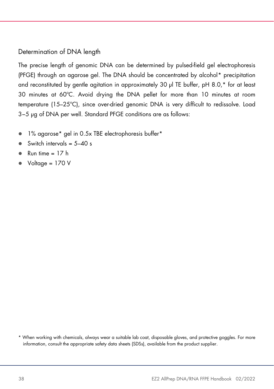#### Determination of DNA length

The precise length of genomic DNA can be determined by pulsed-field gel electrophoresis (PFGE) through an agarose gel. The DNA should be concentrated by alcohol[\\*](#page-37-0) precipitation and reconstituted by gentle agitation in approximately 30 μl TE buffer, pH 8.0,\* for at least 30 minutes at 60ºC. Avoid drying the DNA pellet for more than 10 minutes at room temperature (15–25ºC), since over-dried genomic DNA is very difficult to redissolve. Load 3−5 μg of DNA per well. Standard PFGE conditions are as follows:

- 1% agarose\* gel in 0.5x TBE electrophoresis buffer\*
- $\bullet$  Switch intervals = 5-40 s
- $Run time = 17 h$
- Voltage = 170 V

<span id="page-37-0"></span>\* When working with chemicals, always wear a suitable lab coat, disposable gloves, and protective goggles. For more information, consult the appropriate safety data sheets (SDSs), available from the product supplier.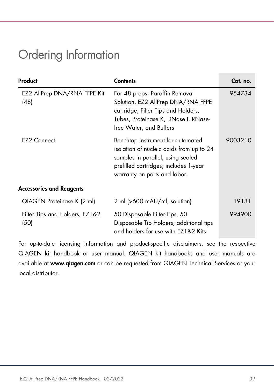# <span id="page-38-0"></span>Ordering Information

| Product                                | <b>Contents</b>                                                                                                                                                                             | Cat. no. |
|----------------------------------------|---------------------------------------------------------------------------------------------------------------------------------------------------------------------------------------------|----------|
| EZ2 AllPrep DNA/RNA FFPE Kit<br>(48)   | For 48 preps: Paraffin Removal<br>Solution, EZ2 AllPrep DNA/RNA FFPE<br>cartridge, Filter Tips and Holders,<br>Tubes, Proteinase K, DNase I, RNase-<br>free Water, and Buffers              | 954734   |
| EZ <sub>2</sub> Connect                | Benchtop instrument for automated<br>isolation of nucleic acids from up to 24<br>samples in parallel, using sealed<br>prefilled cartridges; includes 1-year<br>warranty on parts and labor. | 9003210  |
| <b>Accessories and Reagents</b>        |                                                                                                                                                                                             |          |
| QIAGEN Proteinase K (2 ml)             | 2 ml (>600 mAU/ml, solution)                                                                                                                                                                | 19131    |
| Filter Tips and Holders, EZ1&2<br>(50) | 50 Disposable Filter-Tips, 50<br>Disposable Tip Holders; additional tips<br>and holders for use with EZ1&2 Kits                                                                             | 994900   |

For up-to-date licensing information and product-specific disclaimers, see the respective QIAGEN kit handbook or user manual. QIAGEN kit handbooks and user manuals are available at www.qiagen.com or can be requested from QIAGEN Technical Services or your local distributor.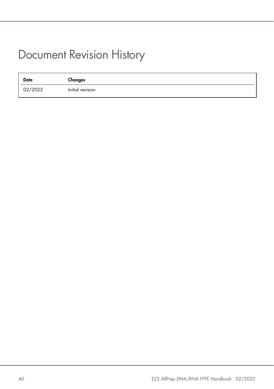## <span id="page-39-0"></span>Document Revision History

| <b>Date</b> | Changes          |
|-------------|------------------|
| 02/2022     | Initial revision |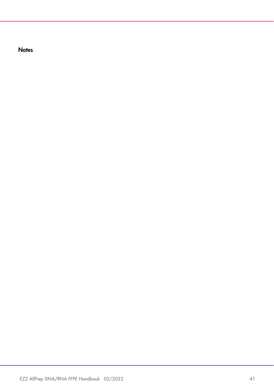**Notes**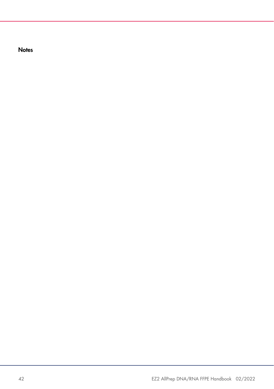**Notes**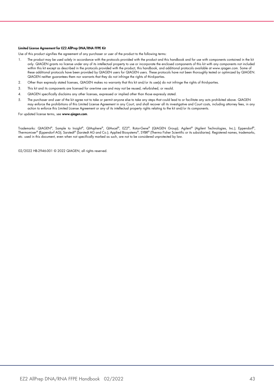#### Limited License Agreement for EZ2 AllPrep DNA/RNA FFPE Kit

Use of this product signifies the agreement of any purchaser or user of the product to the following terms:

- 1. The product may be used solely in accordance with the protocols provided with the product and this handbook and for use with components contained in the kit only. QIAGEN grants no license under any of its intellectual property to use or incorporate the enclosed components of this kit with any components not included within this kit except as described in the protocols provided with the product, this handbook, and additional protocols available at www.qiagen.com. Some of these additional protocols have been provided by QIAGEN users for QIAGEN users. These protocols have not been thoroughly tested or optimized by QIAGEN. QIAGEN neither guarantees them nor warrants that they do not infringe the rights of third-parties.
- 2. Other than expressly stated licenses, QIAGEN makes no warranty that this kit and/or its use(s) do not infringe the rights of third-parties.
- 3. This kit and its components are licensed for one-time use and may not be reused, refurbished, or resold.
- 4. QIAGEN specifically disclaims any other licenses, expressed or implied other than those expressly stated.
- 5. The purchaser and user of the kit agree not to take or permit anyone else to take any steps that could lead to or facilitate any acts prohibited above. QIAGEN may enforce the prohibitions of this Limited License Agreement in any Court, and shall recover all its investigative and Court costs, including attorney fees, in any action to enforce this Limited License Agreement or any of its intellectual property rights relating to the kit and/or its components.

For updated license terms, see www.qiagen.com.

Trademarks: QIAGEN®, Sample to Insight®, QIAsphere®, QIAxcel®, EZ2®, Rotor-Gene® (QIAGEN Group); Agilent® (Agilent Technologies, Inc.); Eppendorf®, Thermomixer® (Eppendorf AG); Sarstedt® (Sarstedt AG and Co.); Applied Biosystems®, SYBR® (Thermo Fisher Scientific or its subsidiaries). Registered names, trademarks, etc. used in this document, even when not specifically marked as such, are not to be considered unprotected by law.

02/2022 HB-2946-001 © 2022 QIAGEN, all rights reserved.